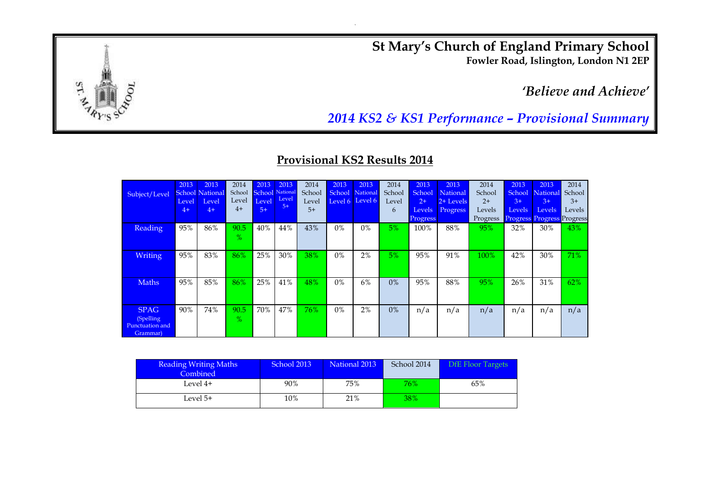**St Mary's Church of England Primary School Fowler Road, Islington, London N1 2EP**

*'Believe and Achieve'*



*2014 KS2 & KS1 Performance – Provisional Summary*

## **Provisional KS2 Results 2014**

| Subject/Level                                           | 2013<br>Level<br>$4+$ | 2013<br><b>School National</b><br>Level<br>$4+$ | 2014<br>School<br>Level<br>$4+$ | 2013<br><b>School</b> National<br>Level<br>$5+$ | 2013<br>Level<br>$5+$ | 2014<br>School<br>Level<br>$5+$ | 2013<br>School<br>Level 6 | 2013<br>National<br>Level 6 | 2014<br>School<br>Level<br>6 | 2013<br>School<br>$2+$<br>Levels<br><b>Progress</b> | 2013<br>National<br>2+ Levels<br>Progress | 2014<br>School<br>$2+$<br>Levels<br>Progress | 2013<br>School<br>$3+$<br><b>Levels</b> | 2013<br>National<br>$3+$<br><b>Levels</b><br><b>Progress Progress Progress</b> | 2014<br>School<br>$3+$<br>Levels |
|---------------------------------------------------------|-----------------------|-------------------------------------------------|---------------------------------|-------------------------------------------------|-----------------------|---------------------------------|---------------------------|-----------------------------|------------------------------|-----------------------------------------------------|-------------------------------------------|----------------------------------------------|-----------------------------------------|--------------------------------------------------------------------------------|----------------------------------|
| <b>Reading</b>                                          | 95%                   | 86%                                             | 90.5<br>$\frac{9}{6}$           | 40%                                             | 44%                   | 43%                             | $0\%$                     | 0%                          | $5\%$                        | 100%                                                | 88%                                       | 95%                                          | 32%                                     | 30%                                                                            | 43%                              |
| <b>Writing</b>                                          | 95%                   | 83%                                             | 86%                             | 25%                                             | 30%                   | 38%                             | $0\%$                     | 2%                          | $5\%$                        | 95%                                                 | 91%                                       | 100%                                         | 42%                                     | 30%                                                                            | 71%                              |
| <b>Maths</b>                                            | 95%                   | 85%                                             | 86%                             | 25%                                             | 41%                   | 48%                             | $0\%$                     | 6%                          | 0%                           | 95%                                                 | 88%                                       | 95%                                          | 26%                                     | 31%                                                                            | 62%                              |
| <b>SPAG</b><br>(Spelling<br>Punctuation and<br>Grammar) | 90%                   | 74%                                             | 90.5<br>$\%$                    | 70%                                             | 47%                   | 76%                             | $0\%$                     | 2%                          | 0%                           | n/a                                                 | n/a                                       | n/a                                          | n/a                                     | n/a                                                                            | n/a                              |

| <b>Reading Writing Maths</b><br>Combined | School 2013 | National 2013 | School 2014 | <b>DfE Floor Targets</b> |
|------------------------------------------|-------------|---------------|-------------|--------------------------|
| Level 4+                                 | 90%         | 75%           | 76%         | 65%                      |
| Level 5+                                 | 10%         | 21%           | 38%         |                          |